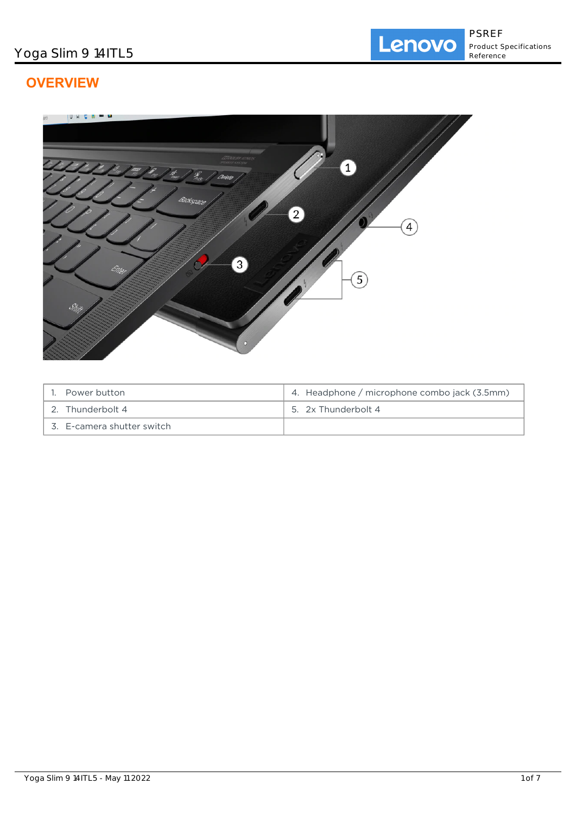# **OVERVIEW**



| 1. Power button            | 4. Headphone / microphone combo jack (3.5mm) |
|----------------------------|----------------------------------------------|
| 2. Thunderbolt 4           | 5. 2x Thunderbolt 4                          |
| 3. E-camera shutter switch |                                              |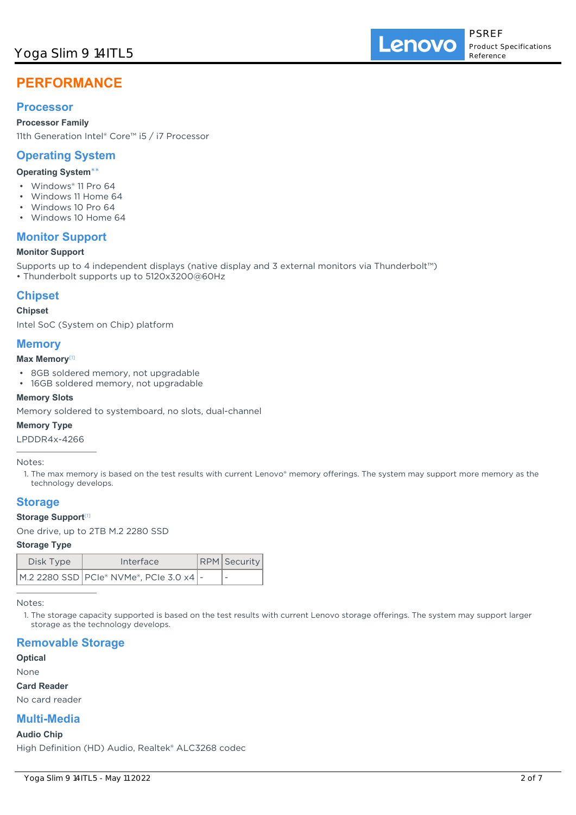Lenovo

# **PERFORMANCE**

## **Processor**

**Processor Family** 11th Generation Intel® Core™ i5 / i7 Processor

## **Operating System**

## **Operating System**\*\*

- Windows® 11 Pro 64
- Windows 11 Home 64
- Windows 10 Pro 64
- Windows 10 Home 64

## **Monitor Support**

## **Monitor Support**

Supports up to 4 independent displays (native display and 3 external monitors via Thunderbolt™)

• Thunderbolt supports up to 5120x3200@60Hz

## **Chipset**

### **Chipset**

Intel SoC (System on Chip) platform

## **Memory**

### **Max Memory**[1]

- 8GB soldered memory, not upgradable
- 16GB soldered memory, not upgradable

## **Memory Slots**

Memory soldered to systemboard, no slots, dual-channel

### **Memory Type**

LPDDR4x-4266

### Notes:

1. The max memory is based on the test results with current Lenovo® memory offerings. The system may support more memory as the technology develops.

## **Storage**

## **Storage Support**[1]

One drive, up to 2TB M.2 2280 SSD

### **Storage Type**

| Disk Type | Interface                                   | <b>RPM</b> Security      |
|-----------|---------------------------------------------|--------------------------|
|           | M.2 2280 SSD   PCIe® NVMe®, PCIe 3.0 x4   - | $\overline{\phantom{a}}$ |

Notes:

1. The storage capacity supported is based on the test results with current Lenovo storage offerings. The system may support larger storage as the technology develops.

## **Removable Storage**

**Optical**

None

### **Card Reader**

No card reader

## **Multi-Media**

### **Audio Chip**

High Definition (HD) Audio, Realtek® ALC3268 codec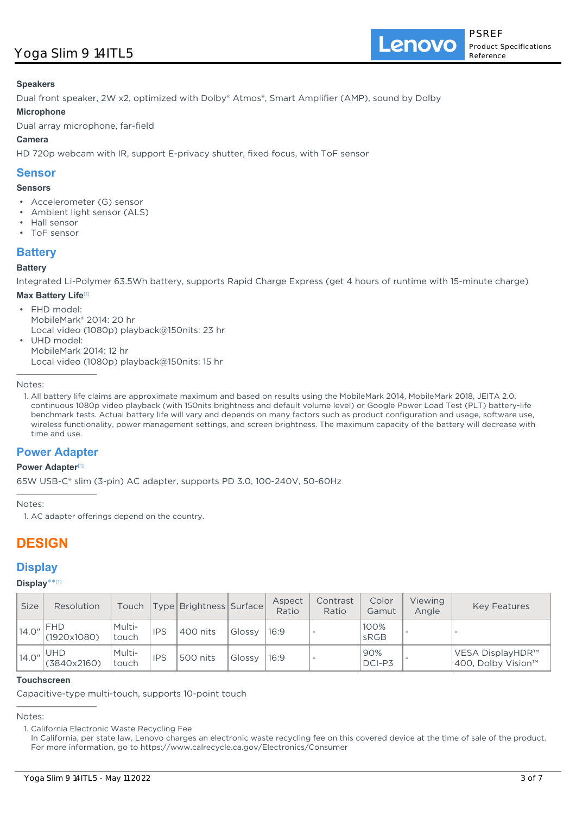Lenovo

## **Speakers**

Dual front speaker, 2W x2, optimized with Dolby® Atmos®, Smart Amplifier (AMP), sound by Dolby

## **Microphone**

Dual array microphone, far-field

## **Camera**

HD 720p webcam with IR, support E-privacy shutter, fixed focus, with ToF sensor

## **Sensor**

## **Sensors**

- Accelerometer (G) sensor
- Ambient light sensor (ALS)
- Hall sensor
- ToF sensor

## **Battery**

## **Battery**

Integrated Li-Polymer 63.5Wh battery, supports Rapid Charge Express (get 4 hours of runtime with 15-minute charge)

## **Max Battery Life**[1]

• FHD model: MobileMark® 2014: 20 hr Local video (1080p) playback@150nits: 23 hr UHD model: •

MobileMark 2014: 12 hr Local video (1080p) playback@150nits: 15 hr

Notes:

1. All battery life claims are approximate maximum and based on results using the MobileMark 2014, MobileMark 2018, JEITA 2.0, continuous 1080p video playback (with 150nits brightness and default volume level) or Google Power Load Test (PLT) battery-life benchmark tests. Actual battery life will vary and depends on many factors such as product configuration and usage, software use, wireless functionality, power management settings, and screen brightness. The maximum capacity of the battery will decrease with time and use.

## **Power Adapter**

### **Power Adapter**[1]

65W USB-C® slim (3-pin) AC adapter, supports PD 3.0, 100-240V, 50-60Hz

Notes:

1. AC adapter offerings depend on the country.

# **DESIGN**

## **Display**

## **Display**\*\* [1]

| <b>Size</b> | Resolution                | Touch           |            | Type   Brightness   Surface |        | Aspect<br>Ratio | Contrast<br>Ratio | Color<br>Gamut | Viewing<br>Angle | <b>Key Features</b>                    |
|-------------|---------------------------|-----------------|------------|-----------------------------|--------|-----------------|-------------------|----------------|------------------|----------------------------------------|
| 14.0''      | <b>FHD</b><br>(1920x1080) | Multi-<br>touch | <b>IPS</b> | 400 nits                    | Glossy | 16:9            |                   | 100%<br>sRGB   |                  |                                        |
| 14.0"       | <b>UHD</b><br>(3840x2160) | Multi-<br>touch | <b>IPS</b> | 500 nits                    | Glossy | 16:9            |                   | 90%<br>DCI-P3  |                  | VESA DisplayHDR™<br>400, Dolby Vision™ |

## **Touchscreen**

Capacitive-type multi-touch, supports 10-point touch

## Notes:

1. California Electronic Waste Recycling Fee

In California, per state law, Lenovo charges an electronic waste recycling fee on this covered device at the time of sale of the product. For more information, go to https://www.calrecycle.ca.gov/Electronics/Consumer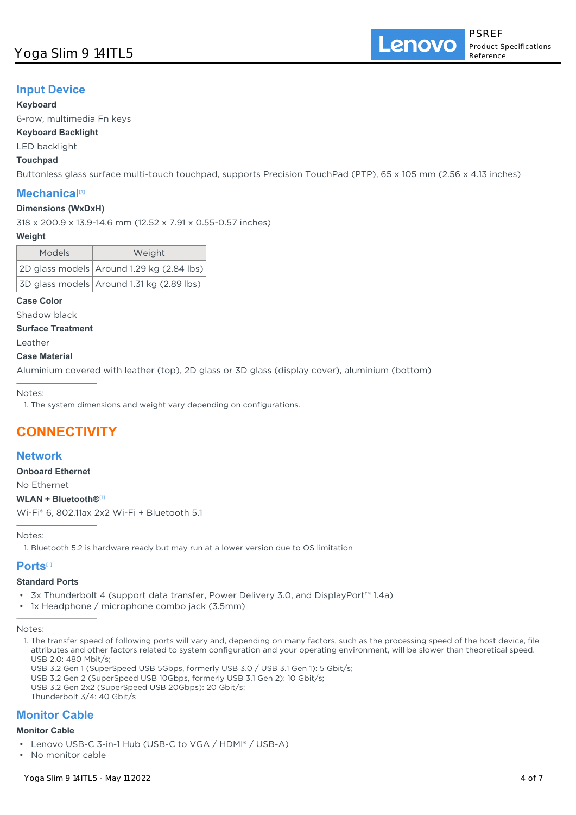## Yoga Slim 9 14ITL5

## **Input Device**

### **Keyboard**

6-row, multimedia Fn keys

## **Keyboard Backlight**

LED backlight

## **Touchpad**

Buttonless glass surface multi-touch touchpad, supports Precision TouchPad (PTP), 65 x 105 mm (2.56 x 4.13 inches)

## **Mechanical**[1]

### **Dimensions (WxDxH)**

318 x 200.9 x 13.9-14.6 mm (12.52 x 7.91 x 0.55-0.57 inches)

#### **Weight**

| <b>Models</b> | Weight                                    |  |  |
|---------------|-------------------------------------------|--|--|
|               | 2D glass models Around 1.29 kg (2.84 lbs) |  |  |
|               | 3D glass models Around 1.31 kg (2.89 lbs) |  |  |

### **Case Color**

Shadow black

**Surface Treatment**

Leather

### **Case Material**

Aluminium covered with leather (top), 2D glass or 3D glass (display cover), aluminium (bottom)

Notes:

1. The system dimensions and weight vary depending on configurations.

# **CONNECTIVITY**

## **Network**

**Onboard Ethernet**

No Ethernet

### **WLAN + Bluetooth®**[1]

Wi-Fi® 6, 802.11ax 2x2 Wi-Fi + Bluetooth 5.1

Notes:

1. Bluetooth 5.2 is hardware ready but may run at a lower version due to OS limitation

## **Ports**[1]

### **Standard Ports**

• 3x Thunderbolt 4 (support data transfer, Power Delivery 3.0, and DisplayPort™ 1.4a)

• 1x Headphone / microphone combo jack (3.5mm)

USB 3.2 Gen 1 (SuperSpeed USB 5Gbps, formerly USB 3.0 / USB 3.1 Gen 1): 5 Gbit/s;

USB 3.2 Gen 2 (SuperSpeed USB 10Gbps, formerly USB 3.1 Gen 2): 10 Gbit/s;

USB 3.2 Gen 2x2 (SuperSpeed USB 20Gbps): 20 Gbit/s;

Thunderbolt 3/4: 40 Gbit/s

## **Monitor Cable**

#### **Monitor Cable**

Notes:

<sup>1.</sup> The transfer speed of following ports will vary and, depending on many factors, such as the processing speed of the host device, file attributes and other factors related to system configuration and your operating environment, will be slower than theoretical speed. USB 2.0: 480 Mbit/s;

<sup>•</sup> Lenovo USB-C 3-in-1 Hub (USB-C to VGA / HDMI® / USB-A)

<sup>•</sup> No monitor cable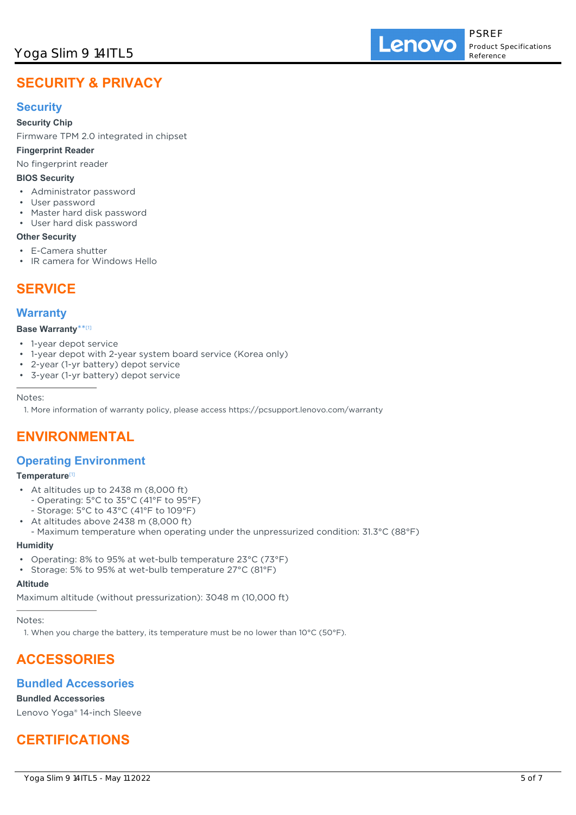Lenovo

# **SECURITY & PRIVACY**

## **Security**

## **Security Chip**

Firmware TPM 2.0 integrated in chipset

## **Fingerprint Reader**

No fingerprint reader

## **BIOS Security**

- Administrator password
- User password
- Master hard disk password
- User hard disk password

## **Other Security**

- E-Camera shutter
- IR camera for Windows Hello

## **SERVICE**

## **Warranty**

### **Base Warranty**\*\* [1]

- 1-year depot service
- 1-year depot with 2-year system board service (Korea only)
- 2-year (1-yr battery) depot service
- 3-year (1-yr battery) depot service

### Notes:

1. More information of warranty policy, please access https://pcsupport.lenovo.com/warranty

# **ENVIRONMENTAL**

## **Operating Environment**

### **Temperature**[1]

- At altitudes up to 2438 m (8,000 ft) - Operating: 5°C to 35°C (41°F to 95°F)
- Storage: 5°C to 43°C (41°F to 109°F)
- At altitudes above 2438 m (8,000 ft) •
- Maximum temperature when operating under the unpressurized condition: 31.3°C (88°F)

### **Humidity**

- Operating: 8% to 95% at wet-bulb temperature 23°C (73°F)
- Storage: 5% to 95% at wet-bulb temperature 27°C (81°F)

## **Altitude**

Maximum altitude (without pressurization): 3048 m (10,000 ft)

Notes:

1. When you charge the battery, its temperature must be no lower than  $10^{\circ}$ C (50 $^{\circ}$ F).

# **ACCESSORIES**

## **Bundled Accessories**

## **Bundled Accessories**

Lenovo Yoga® 14-inch Sleeve

# **CERTIFICATIONS**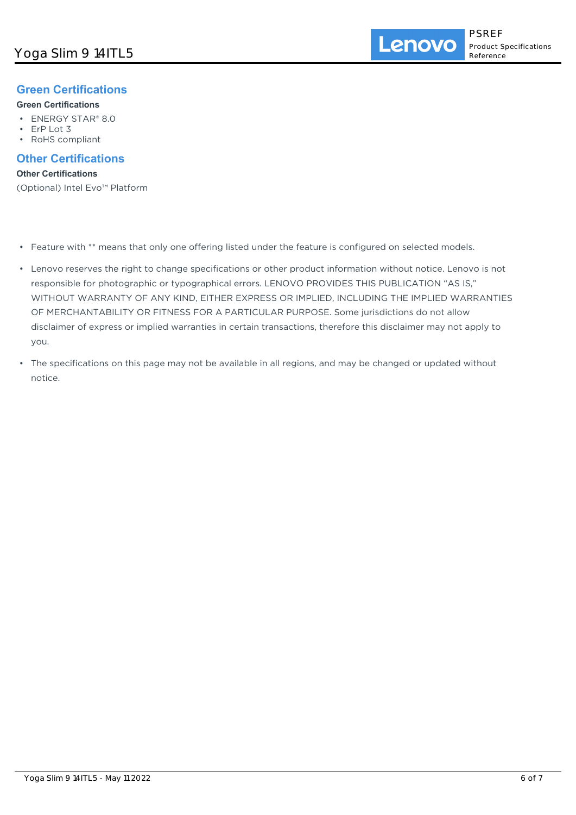## **Green Certifications**

## **Green Certifications**

- ENERGY STAR® 8.0
- ErP Lot 3
- RoHS compliant

## **Other Certifications**

## **Other Certifications**

(Optional) Intel Evo™ Platform

- Feature with \*\* means that only one offering listed under the feature is configured on selected models.
- Lenovo reserves the right to change specifications or other product information without notice. Lenovo is not responsible for photographic or typographical errors. LENOVO PROVIDES THIS PUBLICATION "AS IS," WITHOUT WARRANTY OF ANY KIND, EITHER EXPRESS OR IMPLIED, INCLUDING THE IMPLIED WARRANTIES OF MERCHANTABILITY OR FITNESS FOR A PARTICULAR PURPOSE. Some jurisdictions do not allow disclaimer of express or implied warranties in certain transactions, therefore this disclaimer may not apply to you.
- The specifications on this page may not be available in all regions, and may be changed or updated without notice.